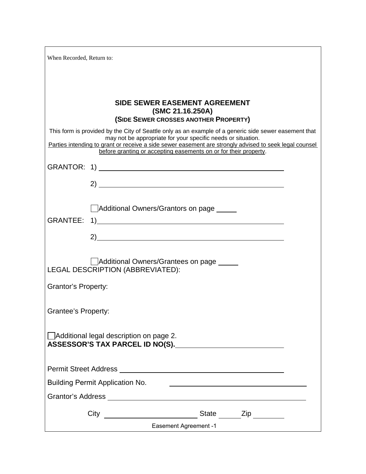| When Recorded, Return to:                                                                                                                                                                                                                                                                                                                           |                                       |  |  |  |  |
|-----------------------------------------------------------------------------------------------------------------------------------------------------------------------------------------------------------------------------------------------------------------------------------------------------------------------------------------------------|---------------------------------------|--|--|--|--|
|                                                                                                                                                                                                                                                                                                                                                     |                                       |  |  |  |  |
|                                                                                                                                                                                                                                                                                                                                                     |                                       |  |  |  |  |
| <b>SIDE SEWER EASEMENT AGREEMENT</b><br>(SMC 21.16.250A)                                                                                                                                                                                                                                                                                            |                                       |  |  |  |  |
|                                                                                                                                                                                                                                                                                                                                                     | (SIDE SEWER CROSSES ANOTHER PROPERTY) |  |  |  |  |
| This form is provided by the City of Seattle only as an example of a generic side sewer easement that<br>may not be appropriate for your specific needs or situation.<br>Parties intending to grant or receive a side sewer easement are strongly advised to seek legal counsel<br>before granting or accepting easements on or for their property. |                                       |  |  |  |  |
|                                                                                                                                                                                                                                                                                                                                                     |                                       |  |  |  |  |
|                                                                                                                                                                                                                                                                                                                                                     |                                       |  |  |  |  |
|                                                                                                                                                                                                                                                                                                                                                     |                                       |  |  |  |  |
|                                                                                                                                                                                                                                                                                                                                                     |                                       |  |  |  |  |
|                                                                                                                                                                                                                                                                                                                                                     | Additional Owners/Grantors on page    |  |  |  |  |
|                                                                                                                                                                                                                                                                                                                                                     |                                       |  |  |  |  |
|                                                                                                                                                                                                                                                                                                                                                     | 2)                                    |  |  |  |  |
|                                                                                                                                                                                                                                                                                                                                                     |                                       |  |  |  |  |
| Additional Owners/Grantees on page<br>LEGAL DESCRIPTION (ABBREVIATED):                                                                                                                                                                                                                                                                              |                                       |  |  |  |  |
| <b>Grantor's Property:</b>                                                                                                                                                                                                                                                                                                                          |                                       |  |  |  |  |
|                                                                                                                                                                                                                                                                                                                                                     |                                       |  |  |  |  |
| <b>Grantee's Property:</b>                                                                                                                                                                                                                                                                                                                          |                                       |  |  |  |  |
|                                                                                                                                                                                                                                                                                                                                                     |                                       |  |  |  |  |
| Additional legal description on page 2.<br>ASSESSOR'S TAX PARCEL ID NO(S).                                                                                                                                                                                                                                                                          |                                       |  |  |  |  |
|                                                                                                                                                                                                                                                                                                                                                     |                                       |  |  |  |  |
|                                                                                                                                                                                                                                                                                                                                                     |                                       |  |  |  |  |
| <b>Building Permit Application No.</b>                                                                                                                                                                                                                                                                                                              |                                       |  |  |  |  |
|                                                                                                                                                                                                                                                                                                                                                     |                                       |  |  |  |  |
|                                                                                                                                                                                                                                                                                                                                                     |                                       |  |  |  |  |
| City _________________________________State ________Zip __________<br>Easement Agreement -1                                                                                                                                                                                                                                                         |                                       |  |  |  |  |
|                                                                                                                                                                                                                                                                                                                                                     |                                       |  |  |  |  |

 $\overline{\phantom{0}}$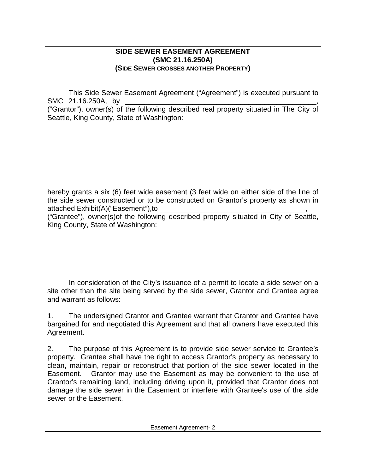## **SIDE SEWER EASEMENT AGREEMENT (SMC 21.16.250A) (SIDE SEWER CROSSES ANOTHER PROPERTY)**

This Side Sewer Easement Agreement ("Agreement") is executed pursuant to SMC 21.16.250A, by

("Grantor"), owner(s) of the following described real property situated in The City of Seattle, King County, State of Washington:

hereby grants a six (6) feet wide easement (3 feet wide on either side of the line of the side sewer constructed or to be constructed on Grantor's property as shown in attached Exhibit(A)("Easement"),to ,

("Grantee"), owner(s)of the following described property situated in City of Seattle, King County, State of Washington:

In consideration of the City's issuance of a permit to locate a side sewer on a site other than the site being served by the side sewer, Grantor and Grantee agree and warrant as follows:

1. The undersigned Grantor and Grantee warrant that Grantor and Grantee have bargained for and negotiated this Agreement and that all owners have executed this Agreement.

2. The purpose of this Agreement is to provide side sewer service to Grantee's property. Grantee shall have the right to access Grantor's property as necessary to clean, maintain, repair or reconstruct that portion of the side sewer located in the Easement. Grantor may use the Easement as may be convenient to the use of Grantor's remaining land, including driving upon it, provided that Grantor does not damage the side sewer in the Easement or interfere with Grantee's use of the side sewer or the Easement.

Easement Agreement- 2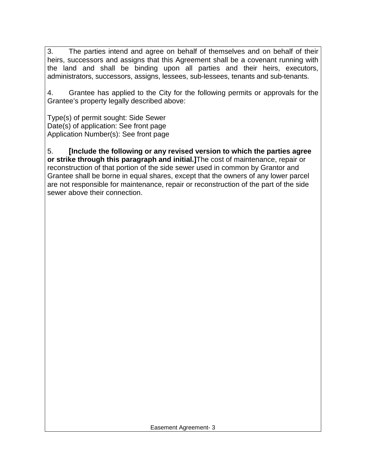3. The parties intend and agree on behalf of themselves and on behalf of their heirs, successors and assigns that this Agreement shall be a covenant running with the land and shall be binding upon all parties and their heirs, executors, administrators, successors, assigns, lessees, sub-lessees, tenants and sub-tenants.

4. Grantee has applied to the City for the following permits or approvals for the Grantee's property legally described above:

Type(s) of permit sought: Side Sewer Date(s) of application: See front page Application Number(s): See front page

5. **[Include the following or any revised version to which the parties agree or strike through this paragraph and initial.]**The cost of maintenance, repair or reconstruction of that portion of the side sewer used in common by Grantor and Grantee shall be borne in equal shares, except that the owners of any lower parcel are not responsible for maintenance, repair or reconstruction of the part of the side sewer above their connection.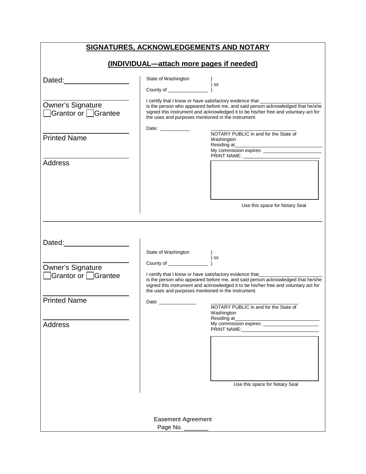| SIGNATURES, ACKNOWLEDGEMENTS AND NOTARY<br>(INDIVIDUAL-attach more pages if needed) |                                                    |                                                                                                                                                                                                                                                  |  |  |
|-------------------------------------------------------------------------------------|----------------------------------------------------|--------------------------------------------------------------------------------------------------------------------------------------------------------------------------------------------------------------------------------------------------|--|--|
|                                                                                     |                                                    |                                                                                                                                                                                                                                                  |  |  |
| Dated: Dated:                                                                       | State of Washington                                | $\frac{1}{2}$ ss                                                                                                                                                                                                                                 |  |  |
|                                                                                     |                                                    |                                                                                                                                                                                                                                                  |  |  |
| <b>Owner's Signature</b><br>Grantor or □ Grantee                                    | the uses and purposes mentioned in the instrument. | I certify that I know or have satisfactory evidence that ______________<br>is the person who appeared before me, and said person acknowledged that he/she<br>signed this instrument and acknowledged it to be his/her free and voluntary act for |  |  |
|                                                                                     | Date: ___________                                  | NOTARY PUBLIC in and for the State of                                                                                                                                                                                                            |  |  |
| <b>Printed Name</b>                                                                 |                                                    | Washington<br>My commission expires:                                                                                                                                                                                                             |  |  |
|                                                                                     |                                                    |                                                                                                                                                                                                                                                  |  |  |
| <b>Address</b>                                                                      |                                                    |                                                                                                                                                                                                                                                  |  |  |
|                                                                                     |                                                    | Use this space for Notary Seal                                                                                                                                                                                                                   |  |  |
|                                                                                     |                                                    |                                                                                                                                                                                                                                                  |  |  |
| Dated: <b>Example 20</b>                                                            |                                                    |                                                                                                                                                                                                                                                  |  |  |
|                                                                                     |                                                    | ) ss                                                                                                                                                                                                                                             |  |  |
| <b>Owner's Signature</b>                                                            |                                                    |                                                                                                                                                                                                                                                  |  |  |
| □Grantor or □Grantee                                                                | the uses and purposes mentioned in the instrument. | I certify that I know or have satisfactory evidence that________<br>is the person who appeared before me, and said person acknowledged that he/she<br>signed this instrument and acknowledged it to be his/her free and voluntary act for        |  |  |
| <b>Printed Name</b>                                                                 | Date: ________________                             |                                                                                                                                                                                                                                                  |  |  |
|                                                                                     |                                                    | NOTARY PUBLIC in and for the State of<br>Washington<br>Residing at                                                                                                                                                                               |  |  |
| <b>Address</b>                                                                      |                                                    | My commission expires: ____________________                                                                                                                                                                                                      |  |  |
|                                                                                     |                                                    |                                                                                                                                                                                                                                                  |  |  |
|                                                                                     |                                                    | Use this space for Notary Seal                                                                                                                                                                                                                   |  |  |
|                                                                                     | <b>Easement Agreement</b><br>Page No. ______       |                                                                                                                                                                                                                                                  |  |  |